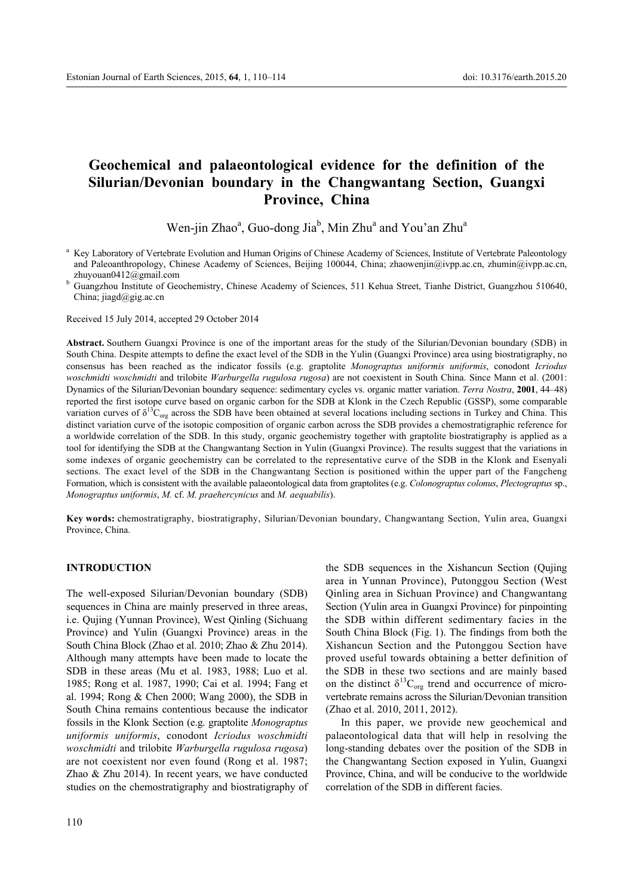# **Geochemical and palaeontological evidence for the definition of the Silurian/Devonian boundary in the Changwantang Section, Guangxi Province, China**

Wen-jin Zhao<sup>a</sup>, Guo-dong Jia<sup>b</sup>, Min Zhu<sup>a</sup> and You'an Zhu<sup>a</sup>

China; jiagd@gig.ac.cn

Received 15 July 2014, accepted 29 October 2014

**Abstract.** Southern Guangxi Province is one of the important areas for the study of the Silurian/Devonian boundary (SDB) in South China. Despite attempts to define the exact level of the SDB in the Yulin (Guangxi Province) area using biostratigraphy, no consensus has been reached as the indicator fossils (e.g. graptolite *Monograptus uniformis uniformis*, conodont *Icriodus woschmidti woschmidti* and trilobite *Warburgella rugulosa rugosa*) are not coexistent in South China. Since Mann et al. (2001: Dynamics of the Silurian/Devonian boundary sequence: sedimentary cycles vs. organic matter variation. *Terra Nostra*, 2001, 44-48) reported the first isotope curve based on organic carbon for the SDB at Klonk in the Czech Republic (GSSP), some comparable variation curves of  $\delta^{13}C_{org}$  across the SDB have been obtained at several locations including sections in Turkey and China. This distinct variation curve of the isotopic composition of organic carbon across the SDB provides a chemostratigraphic reference for a worldwide correlation of the SDB. In this study, organic geochemistry together with graptolite biostratigraphy is applied as a tool for identifying the SDB at the Changwantang Section in Yulin (Guangxi Province). The results suggest that the variations in some indexes of organic geochemistry can be correlated to the representative curve of the SDB in the Klonk and Esenyali sections. The exact level of the SDB in the Changwantang Section is positioned within the upper part of the Fangcheng Formation, which is consistent with the available palaeontological data from graptolites (e.g. *Colonograptus colonus*, *Plectograptus* sp., *Monograptus uniformis*, *M.* cf. *M. praehercynicus* and *M. aequabilis*).

**Key words:** chemostratigraphy, biostratigraphy, Silurian/Devonian boundary, Changwantang Section, Yulin area, Guangxi Province, China.

## **INTRODUCTION**

The well-exposed Silurian/Devonian boundary (SDB) sequences in China are mainly preserved in three areas, i.e. Qujing (Yunnan Province), West Qinling (Sichuang Province) and Yulin (Guangxi Province) areas in the South China Block (Zhao et al. 2010; Zhao & Zhu 2014). Although many attempts have been made to locate the SDB in these areas (Mu et al. 1983, 1988; Luo et al. 1985; Rong et al. 1987, 1990; Cai et al. 1994; Fang et al. 1994; Rong & Chen 2000; Wang 2000), the SDB in South China remains contentious because the indicator fossils in the Klonk Section (e.g. graptolite *Monograptus uniformis uniformis*, conodont *Icriodus woschmidti woschmidti* and trilobite *Warburgella rugulosa rugosa*) are not coexistent nor even found (Rong et al. 1987; Zhao & Zhu 2014). In recent years, we have conducted studies on the chemostratigraphy and biostratigraphy of the SDB sequences in the Xishancun Section (Qujing area in Yunnan Province), Putonggou Section (West Qinling area in Sichuan Province) and Changwantang Section (Yulin area in Guangxi Province) for pinpointing the SDB within different sedimentary facies in the South China Block (Fig. 1). The findings from both the Xishancun Section and the Putonggou Section have proved useful towards obtaining a better definition of the SDB in these two sections and are mainly based on the distinct  $\delta^{13}C_{org}$  trend and occurrence of microvertebrate remains across the Silurian/Devonian transition (Zhao et al. 2010, 2011, 2012).

In this paper, we provide new geochemical and palaeontological data that will help in resolving the long-standing debates over the position of the SDB in the Changwantang Section exposed in Yulin, Guangxi Province, China, and will be conducive to the worldwide correlation of the SDB in different facies.

<sup>&</sup>lt;sup>a</sup> Key Laboratory of Vertebrate Evolution and Human Origins of Chinese Academy of Sciences, Institute of Vertebrate Paleontology and Paleoanthropology, Chinese Academy of Sciences, Beijing 100044, China; zhaowenjin@ivpp.ac.cn, zhumin@ivpp.ac.cn, zhuyouan0412@gmail.com<br><sup>b</sup> Guangzhou Institute of Geochemistry, Chinese Academy of Sciences, 511 Kehua Street, Tianhe District, Guangzhou 510640,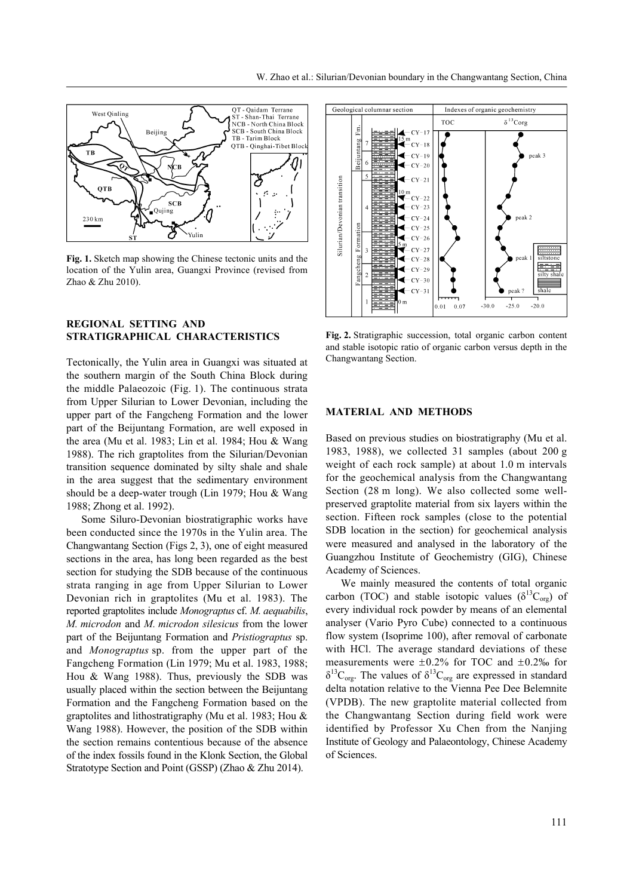

**Fig. 1.** Sketch map showing the Chinese tectonic units and the location of the Yulin area, Guangxi Province (revised from Zhao & Zhu 2010).

## **REGIONAL SETTING AND STRATIGRAPHICAL CHARACTERISTICS**

Tectonically, the Yulin area in Guangxi was situated at the southern margin of the South China Block during the middle Palaeozoic (Fig. 1). The continuous strata from Upper Silurian to Lower Devonian, including the upper part of the Fangcheng Formation and the lower part of the Beijuntang Formation, are well exposed in the area (Mu et al. 1983; Lin et al. 1984; Hou  $&$  Wang 1988). The rich graptolites from the Silurian/Devonian transition sequence dominated by silty shale and shale in the area suggest that the sedimentary environment should be a deep-water trough (Lin 1979; Hou & Wang 1988; Zhong et al. 1992).

Some Siluro-Devonian biostratigraphic works have been conducted since the 1970s in the Yulin area. The Changwantang Section (Figs 2, 3), one of eight measured sections in the area, has long been regarded as the best section for studying the SDB because of the continuous strata ranging in age from Upper Silurian to Lower Devonian rich in graptolites (Mu et al. 1983). The reported graptolites include *Monograptus* cf. *M. aequabilis*, *M. microdon* and *M. microdon silesicus* from the lower part of the Beijuntang Formation and *Pristiograptus* sp. and *Monograptus* sp. from the upper part of the Fangcheng Formation (Lin 1979; Mu et al. 1983, 1988; Hou & Wang 1988). Thus, previously the SDB was usually placed within the section between the Beijuntang Formation and the Fangcheng Formation based on the graptolites and lithostratigraphy (Mu et al. 1983; Hou & Wang 1988). However, the position of the SDB within the section remains contentious because of the absence of the index fossils found in the Klonk Section, the Global Stratotype Section and Point (GSSP) (Zhao & Zhu 2014).



**Fig. 2.** Stratigraphic succession, total organic carbon content and stable isotopic ratio of organic carbon versus depth in the Changwantang Section.

### **MATERIAL AND METHODS**

Based on previous studies on biostratigraphy (Mu et al. 1983, 1988), we collected 31 samples (about 200 g weight of each rock sample) at about 1.0 m intervals for the geochemical analysis from the Changwantang Section (28 m long). We also collected some wellpreserved graptolite material from six layers within the section. Fifteen rock samples (close to the potential SDB location in the section) for geochemical analysis were measured and analysed in the laboratory of the Guangzhou Institute of Geochemistry (GIG), Chinese Academy of Sciences.

We mainly measured the contents of total organic carbon (TOC) and stable isotopic values ( $\delta^{13}C_{\text{org}}$ ) of every individual rock powder by means of an elemental analyser (Vario Pyro Cube) connected to a continuous flow system (Isoprime 100), after removal of carbonate with HCl. The average standard deviations of these measurements were  $\pm 0.2\%$  for TOC and  $\pm 0.2\%$  for  $\delta^{13}C_{org}$ . The values of  $\delta^{13}C_{org}$  are expressed in standard delta notation relative to the Vienna Pee Dee Belemnite (VPDB). The new graptolite material collected from the Changwantang Section during field work were identified by Professor Xu Chen from the Nanjing Institute of Geology and Palaeontology, Chinese Academy of Sciences.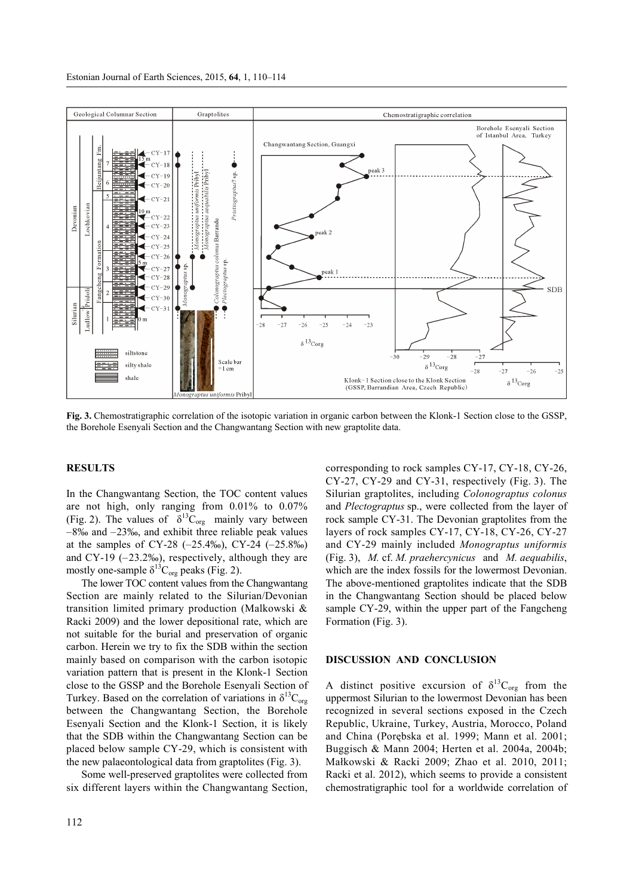

**Fig. 3.** Chemostratigraphic correlation of the isotopic variation in organic carbon between the Klonk-1 Section close to the GSSP, the Borehole Esenyali Section and the Changwantang Section with new graptolite data.

#### **RESULTS**

In the Changwantang Section, the TOC content values are not high, only ranging from 0.01% to 0.07% (Fig. 2). The values of  $\delta^{13}$ C<sub>org</sub> mainly vary between  $-8%$  and  $-23%$ , and exhibit three reliable peak values at the samples of CY-28  $(-25.4\%)$ , CY-24  $(-25.8\%)$ and CY-19  $(-23.2\%)$ , respectively, although they are mostly one-sample  $\delta^{13}C_{org}$  peaks (Fig. 2).

The lower TOC content values from the Changwantang Section are mainly related to the Silurian/Devonian transition limited primary production (Malkowski & Racki 2009) and the lower depositional rate, which are not suitable for the burial and preservation of organic carbon. Herein we try to fix the SDB within the section mainly based on comparison with the carbon isotopic variation pattern that is present in the Klonk-1 Section close to the GSSP and the Borehole Esenyali Section of Turkey. Based on the correlation of variations in  $\delta^{13}C_{\text{org}}$ between the Changwantang Section, the Borehole Esenyali Section and the Klonk-1 Section, it is likely that the SDB within the Changwantang Section can be placed below sample CY-29, which is consistent with the new palaeontological data from graptolites (Fig. 3).

Some well-preserved graptolites were collected from six different layers within the Changwantang Section,

corresponding to rock samples CY-17, CY-18, CY-26, CY-27, CY-29 and CY-31, respectively (Fig. 3). The Silurian graptolites, including *Colonograptus colonus* and *Plectograptus* sp., were collected from the layer of rock sample CY-31. The Devonian graptolites from the layers of rock samples CY-17, CY-18, CY-26, CY-27 and CY-29 mainly included *Monograptus uniformis* (Fig. 3), *M.* cf. *M. praehercynicus* and *M. aequabilis*, which are the index fossils for the lowermost Devonian. The above-mentioned graptolites indicate that the SDB in the Changwantang Section should be placed below sample CY-29, within the upper part of the Fangcheng Formation (Fig. 3).

#### **DISCUSSION AND CONCLUSION**

A distinct positive excursion of  $\delta^{13}C_{\text{org}}$  from the uppermost Silurian to the lowermost Devonian has been recognized in several sections exposed in the Czech Republic, Ukraine, Turkey, Austria, Morocco, Poland and China (Porębska et al. 1999; Mann et al. 2001; Buggisch & Mann 2004; Herten et al. 2004a, 2004b; Małkowski & Racki 2009; Zhao et al. 2010, 2011; Racki et al. 2012), which seems to provide a consistent chemostratigraphic tool for a worldwide correlation of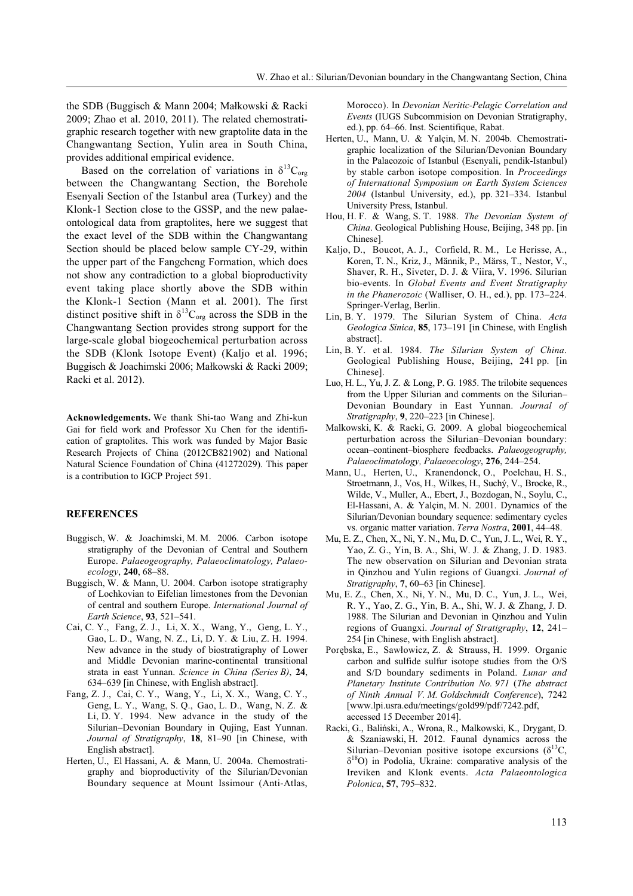the SDB (Buggisch & Mann 2004; Małkowski & Racki 2009; Zhao et al. 2010, 2011). The related chemostratigraphic research together with new graptolite data in the Changwantang Section, Yulin area in South China, provides additional empirical evidence.

Based on the correlation of variations in  $\delta^{13}C_{\text{org}}$ between the Changwantang Section, the Borehole Esenyali Section of the Istanbul area (Turkey) and the Klonk-1 Section close to the GSSP, and the new palaeontological data from graptolites, here we suggest that the exact level of the SDB within the Changwantang Section should be placed below sample CY-29, within the upper part of the Fangcheng Formation, which does not show any contradiction to a global bioproductivity event taking place shortly above the SDB within the Klonk-1 Section (Mann et al. 2001). The first distinct positive shift in  $\delta^{13}C_{org}$  across the SDB in the Changwantang Section provides strong support for the large-scale global biogeochemical perturbation across the SDB (Klonk Isotope Event) (Kaljo et al. 1996; Buggisch & Joachimski 2006; Małkowski & Racki 2009; Racki et al. 2012).

**Acknowledgements.** We thank Shi-tao Wang and Zhi-kun Gai for field work and Professor Xu Chen for the identification of graptolites. This work was funded by Major Basic Research Projects of China (2012CB821902) and National Natural Science Foundation of China (41272029). This paper is a contribution to IGCP Project 591.

#### **REFERENCES**

- Buggisch, W. & Joachimski, M. M. 2006. Carbon isotope stratigraphy of the Devonian of Central and Southern Europe. *Palaeogeography, Palaeoclimatology, Palaeoecology*, **240**, 68–88.
- Buggisch, W. & Mann, U. 2004. Carbon isotope stratigraphy of Lochkovian to Eifelian limestones from the Devonian of central and southern Europe. *International Journal of Earth Science*, 93, 521-541.
- Cai, C. Y., Fang, Z. J., Li, X. X., Wang, Y., Geng, L. Y., Gao, L. D., Wang, N. Z., Li, D. Y. & Liu, Z. H. 1994. New advance in the study of biostratigraphy of Lower and Middle Devonian marine-continental transitional strata in east Yunnan. *Science in China (Series B)*, **24**, 634–639 [in Chinese, with English abstract].
- Fang, Z. J., Cai, C. Y., Wang, Y., Li, X. X., Wang, C. Y., Geng, L. Y., Wang, S. Q., Gao, L. D., Wang, N. Z. & Li, D. Y. 1994. New advance in the study of the Silurian-Devonian Boundary in Qujing, East Yunnan. Journal of Stratigraphy, 18, 81-90 [in Chinese, with English abstract].
- Herten, U., El Hassani, A. & Mann, U. 2004a. Chemostratigraphy and bioproductivity of the Silurian/Devonian Boundary sequence at Mount Issimour (Anti-Atlas,

Morocco). In *Devonian Neritic-Pelagic Correlation and Events* (IUGS Subcommision on Devonian Stratigraphy, ed.), pp. 64–66. Inst. Scientifique, Rabat.

- Herten, U., Mann, U. & Yalçin, M. N. 2004b. Chemostratigraphic localization of the Silurian/Devonian Boundary in the Palaeozoic of Istanbul (Esenyali, pendik-Istanbul) by stable carbon isotope composition. In *Proceedings of International Symposium on Earth System Sciences*  2004 (Istanbul University, ed.), pp. 321-334. Istanbul University Press, Istanbul.
- Hou, H. F. & Wang, S. T. 1988. *The Devonian System of China*. Geological Publishing House, Beijing, 348 pp. [in Chinese].
- Kaljo, D., Boucot, A. J., Corfield, R. M., Le Herisse, A., Koren, T. N., Kriz, J., Männik, P., Märss, T., Nestor, V., Shaver, R. H., Siveter, D. J. & Viira, V. 1996. Silurian bio-events. In *Global Events and Event Stratigraphy*   $in$  the Phanerozoic (Walliser, O. H., ed.), pp.  $173-224$ . Springer-Verlag, Berlin.
- Lin, B. Y. 1979. The Silurian System of China. *Acta Geologica Sinica*, 85, 173-191 [in Chinese, with English abstract].
- Lin, B. Y. et al. 1984. *The Silurian System of China*. Geological Publishing House, Beijing, 241 pp. [in Chinese].
- Luo, H. L., Yu, J. Z. & Long, P. G. 1985. The trilobite sequences from the Upper Silurian and comments on the Silurian– Devonian Boundary in East Yunnan. *Journal of Stratigraphy*, 9, 220–223 [in Chinese].
- Malkowski, K. & Racki, G. 2009. A global biogeochemical perturbation across the Silurian-Devonian boundary: ocean-continent-biosphere feedbacks. *Palaeogeography*, *Palaeoclimatology, Palaeoecology*, 276, 244-254.
- Mann, U., Herten, U., Kranendonck, O., Poelchau, H. S., Stroetmann, J., Vos, H., Wilkes, H., Suchý, V., Brocke, R., Wilde, V., Muller, A., Ebert, J., Bozdogan, N., Soylu, C., El-Hassani, A. & Yalçin, M. N. 2001. Dynamics of the Silurian/Devonian boundary sequence: sedimentary cycles vs. organic matter variation. *Terra Nostra*, 2001, 44-48.
- Mu, E. Z., Chen, X., Ni, Y. N., Mu, D. C., Yun, J. L., Wei, R. Y., Yao, Z. G., Yin, B. A., Shi, W. J. & Zhang, J. D. 1983. The new observation on Silurian and Devonian strata in Qinzhou and Yulin regions of Guangxi. *Journal of Stratigraphy*, 7, 60–63 [in Chinese].
- Mu, E. Z., Chen, X., Ni, Y. N., Mu, D. C., Yun, J. L., Wei, R. Y., Yao, Z. G., Yin, B. A., Shi, W. J. & Zhang, J. D. 1988. The Silurian and Devonian in Qinzhou and Yulin regions of Guangxi. *Journal of Stratigraphy*, 12, 241– 254 [in Chinese, with English abstract].
- Porębska, E., Sawłowicz, Z. & Strauss, H. 1999. Organic carbon and sulfide sulfur isotope studies from the O/S and S/D boundary sediments in Poland. *Lunar and Planetary Institute Contribution No. 971* (*The abstract of Ninth Annual V. M. Goldschmidt Conference*), 7242 [www.lpi.usra.edu/meetings/gold99/pdf/7242.pdf, accessed 15 December 2014].
- Racki, G., Baliński, A., Wrona, R., Malkowski, K., Drygant, D. & Szaniawski, H. 2012. Faunal dynamics across the Silurian–Devonian positive isotope excursions ( $\delta^{13}C$ ,  $\delta^{18}$ O) in Podolia, Ukraine: comparative analysis of the Ireviken and Klonk events. *Acta Palaeontologica Polonica*, 57, 795-832.